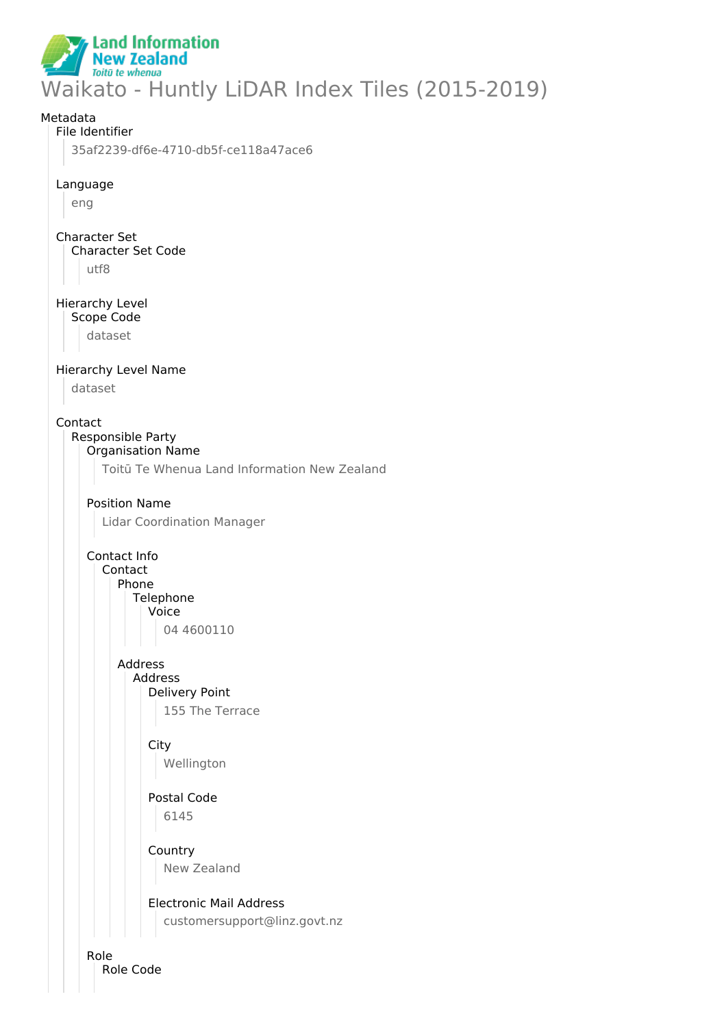#### **Land Information New Zealand** Toitū te whenua Waikato - Huntly LiDAR Index Tiles (2015-2019)

# Metadata File Identifier 35af2239-df6e-4710-db5f-ce118a47ace6 Language eng Character Set Character Set Code utf8 Hierarchy Level Scope Code dataset Hierarchy Level Name dataset Contact Responsible Party Organisation Name Toitū Te Whenua Land Information New Zealand Position Name Lidar Coordination Manager Contact Info Contact Phone **Telephone** Voice 04 4600110 Address Address Delivery Point 155 The Terrace **City** Wellington Postal Code 6145 **Country** New Zealand Electronic Mail Address customersupport@linz.govt.nz

Role Role Code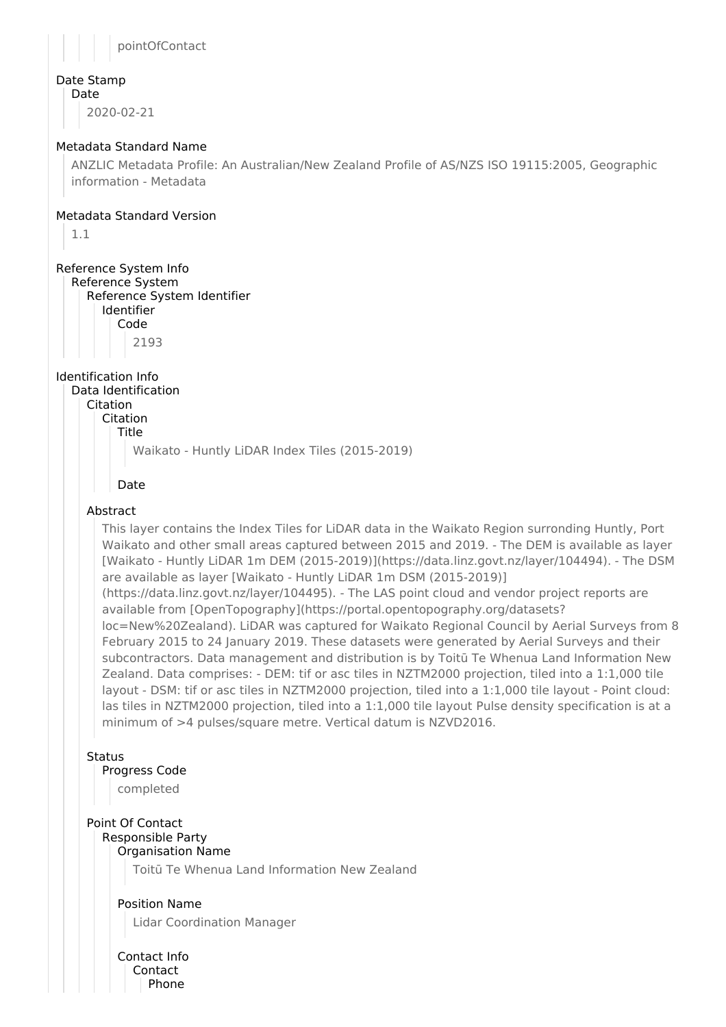

#### Date Stamp

Date

2020-02-21

#### Metadata Standard Name

ANZLIC Metadata Profile: An Australian/New Zealand Profile of AS/NZS ISO 19115:2005, Geographic information - Metadata

#### Metadata Standard Version

1.1

### Reference System Info

Reference System Reference System Identifier Identifier

Code 2193

Identification Info

Data Identification Citation

Citation

Title

Waikato - Huntly LiDAR Index Tiles (2015-2019)

#### Date

### Abstract

This layer contains the Index Tiles for LiDAR data in the Waikato Region surronding Huntly, Port Waikato and other small areas captured between 2015 and 2019. - The DEM is available as layer [Waikato - Huntly LiDAR 1m DEM (2015-2019)](https://data.linz.govt.nz/layer/104494). - The DSM are available as layer [Waikato - Huntly LiDAR 1m DSM (2015-2019)]

(https://data.linz.govt.nz/layer/104495). - The LAS point cloud and vendor project reports are available from [OpenTopography](https://portal.opentopography.org/datasets?

loc=New%20Zealand). LiDAR was captured for Waikato Regional Council by Aerial Surveys from 8 February 2015 to 24 January 2019. These datasets were generated by Aerial Surveys and their subcontractors. Data management and distribution is by Toitū Te Whenua Land Information New Zealand. Data comprises: - DEM: tif or asc tiles in NZTM2000 projection, tiled into a 1:1,000 tile layout - DSM: tif or asc tiles in NZTM2000 projection, tiled into a 1:1,000 tile layout - Point cloud: las tiles in NZTM2000 projection, tiled into a 1:1,000 tile layout Pulse density specification is at a minimum of >4 pulses/square metre. Vertical datum is NZVD2016.

#### **Status**

### Progress Code

completed

## Point Of Contact

#### Responsible Party Organisation Name

Toitū Te Whenua Land Information New Zealand

#### Position Name

Lidar Coordination Manager

Contact Info Contact Phone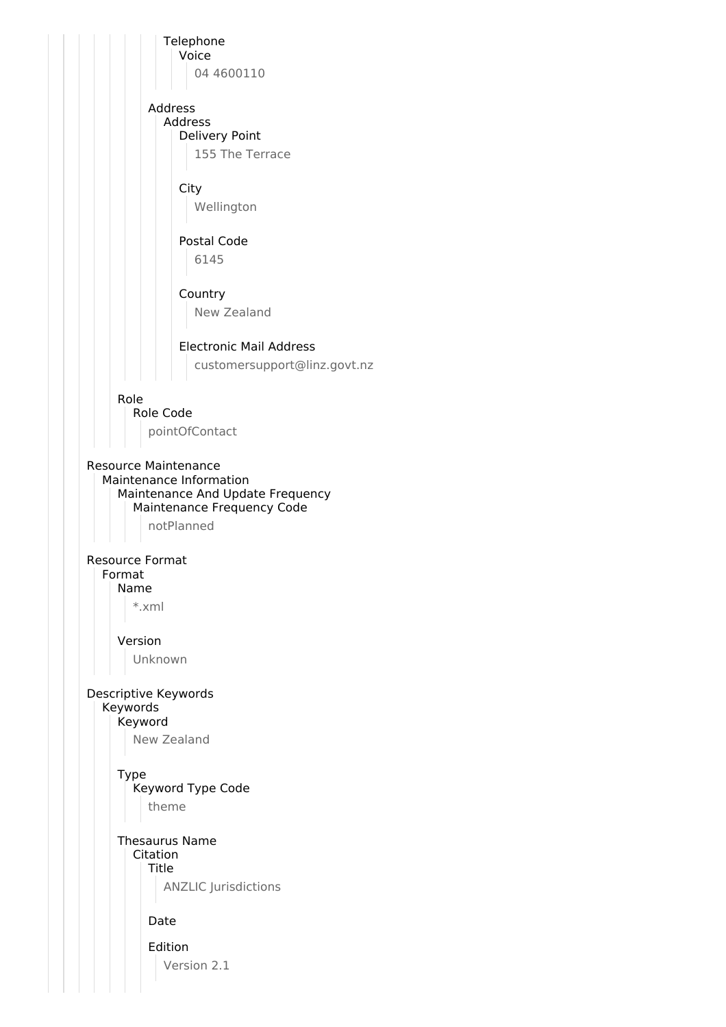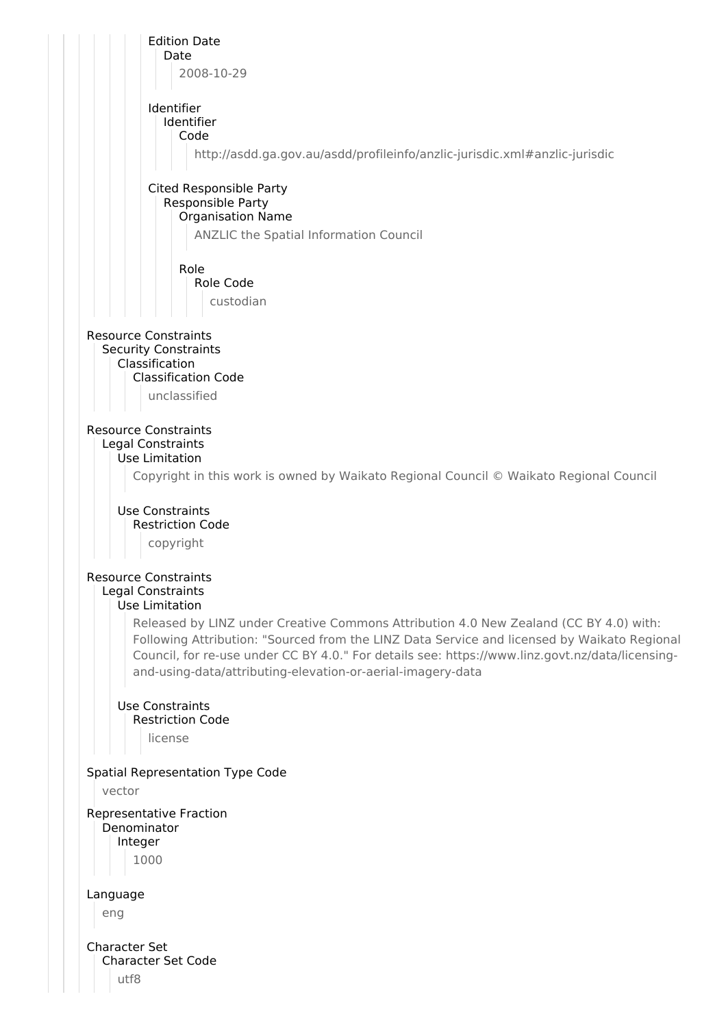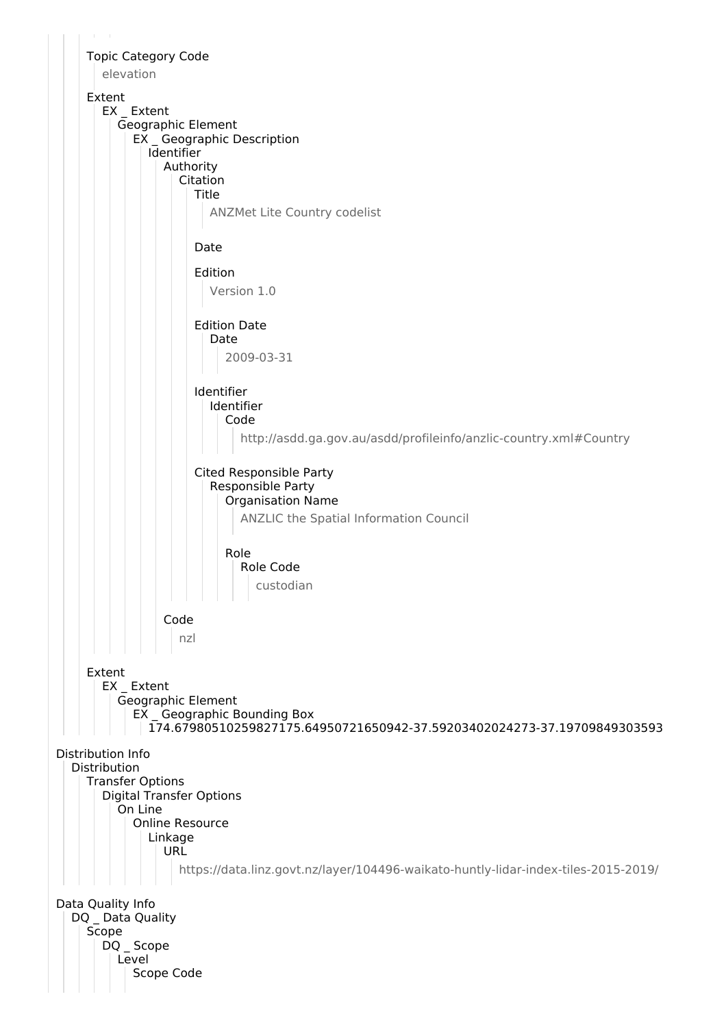